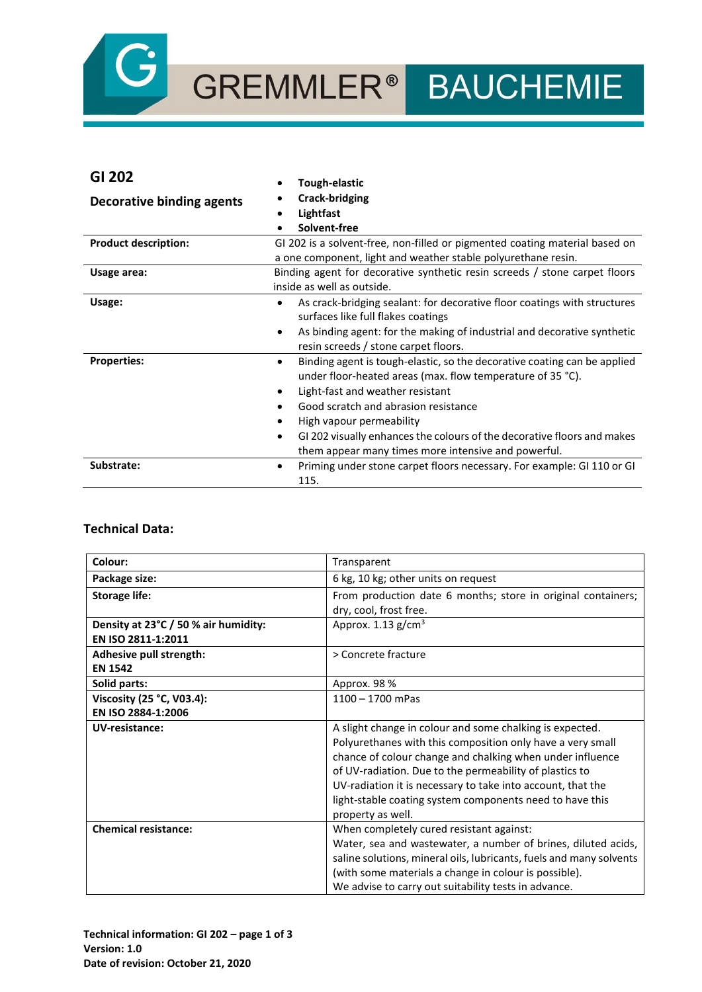

# GREMMLER<sup>®</sup> BAUCHEMIE

# **GI 202**

| שו גטב                      | <b>Tough-elastic</b>                                                                 |
|-----------------------------|--------------------------------------------------------------------------------------|
| Decorative binding agents   | Crack-bridging                                                                       |
|                             | Lightfast                                                                            |
|                             | Solvent-free<br>٠                                                                    |
| <b>Product description:</b> | GI 202 is a solvent-free, non-filled or pigmented coating material based on          |
|                             | a one component, light and weather stable polyurethane resin.                        |
| Usage area:                 | Binding agent for decorative synthetic resin screeds / stone carpet floors           |
|                             | inside as well as outside.                                                           |
| Usage:                      | As crack-bridging sealant: for decorative floor coatings with structures<br>٠        |
|                             | surfaces like full flakes coatings                                                   |
|                             | As binding agent: for the making of industrial and decorative synthetic<br>$\bullet$ |
|                             | resin screeds / stone carpet floors.                                                 |
| <b>Properties:</b>          | Binding agent is tough-elastic, so the decorative coating can be applied             |
|                             | under floor-heated areas (max. flow temperature of 35 °C).                           |
|                             | Light-fast and weather resistant                                                     |
|                             | Good scratch and abrasion resistance                                                 |
|                             | High vapour permeability                                                             |
|                             | GI 202 visually enhances the colours of the decorative floors and makes<br>٠         |
|                             | them appear many times more intensive and powerful.                                  |
| Substrate:                  | Priming under stone carpet floors necessary. For example: GI 110 or GI<br>٠          |
|                             | 115.                                                                                 |

## **Technical Data:**

| Colour:                              | Transparent                                                         |
|--------------------------------------|---------------------------------------------------------------------|
| Package size:                        | 6 kg, 10 kg; other units on request                                 |
| <b>Storage life:</b>                 | From production date 6 months; store in original containers;        |
|                                      | dry, cool, frost free.                                              |
| Density at 23°C / 50 % air humidity: | Approx. $1.13$ g/cm <sup>3</sup>                                    |
| EN ISO 2811-1:2011                   |                                                                     |
| Adhesive pull strength:              | > Concrete fracture                                                 |
| <b>EN 1542</b>                       |                                                                     |
| Solid parts:                         | Approx. 98 %                                                        |
| Viscosity (25 °C, V03.4):            | $1100 - 1700$ mPas                                                  |
| EN ISO 2884-1:2006                   |                                                                     |
| UV-resistance:                       | A slight change in colour and some chalking is expected.            |
|                                      | Polyurethanes with this composition only have a very small          |
|                                      | chance of colour change and chalking when under influence           |
|                                      | of UV-radiation. Due to the permeability of plastics to             |
|                                      | UV-radiation it is necessary to take into account, that the         |
|                                      | light-stable coating system components need to have this            |
|                                      | property as well.                                                   |
| <b>Chemical resistance:</b>          | When completely cured resistant against:                            |
|                                      | Water, sea and wastewater, a number of brines, diluted acids,       |
|                                      | saline solutions, mineral oils, lubricants, fuels and many solvents |
|                                      | (with some materials a change in colour is possible).               |
|                                      | We advise to carry out suitability tests in advance.                |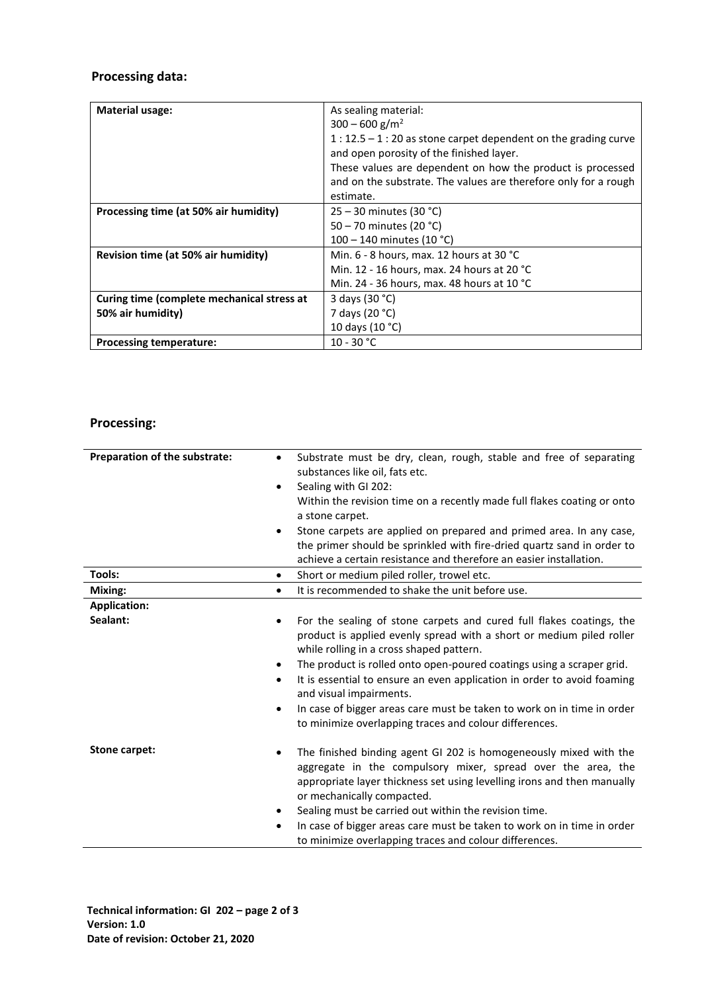# **Processing data:**

| <b>Material usage:</b>                     | As sealing material:                                                                                       |
|--------------------------------------------|------------------------------------------------------------------------------------------------------------|
|                                            | $300 - 600$ g/m <sup>2</sup>                                                                               |
|                                            | $1:12.5 - 1:20$ as stone carpet dependent on the grading curve<br>and open porosity of the finished layer. |
|                                            | These values are dependent on how the product is processed                                                 |
|                                            | and on the substrate. The values are therefore only for a rough                                            |
|                                            | estimate.                                                                                                  |
| Processing time (at 50% air humidity)      | $25 - 30$ minutes (30 °C)                                                                                  |
|                                            | 50 - 70 minutes (20 °C)                                                                                    |
|                                            | 100 – 140 minutes (10 °C)                                                                                  |
| Revision time (at 50% air humidity)        | Min. $6 - 8$ hours, max. 12 hours at 30 °C                                                                 |
|                                            | Min. 12 - 16 hours, max. 24 hours at 20 °C                                                                 |
|                                            | Min. 24 - 36 hours, max. 48 hours at 10 °C                                                                 |
| Curing time (complete mechanical stress at | 3 days (30 °C)                                                                                             |
| 50% air humidity)                          | 7 days (20 °C)                                                                                             |
|                                            | 10 days (10 °C)                                                                                            |
| <b>Processing temperature:</b>             | $10 - 30 °C$                                                                                               |

# **Processing:**

| Preparation of the substrate: | Substrate must be dry, clean, rough, stable and free of separating<br>$\bullet$<br>substances like oil, fats etc.<br>Sealing with GI 202:<br>$\bullet$<br>Within the revision time on a recently made full flakes coating or onto<br>a stone carpet.<br>Stone carpets are applied on prepared and primed area. In any case,<br>$\bullet$<br>the primer should be sprinkled with fire-dried quartz sand in order to<br>achieve a certain resistance and therefore an easier installation.                                                                |
|-------------------------------|---------------------------------------------------------------------------------------------------------------------------------------------------------------------------------------------------------------------------------------------------------------------------------------------------------------------------------------------------------------------------------------------------------------------------------------------------------------------------------------------------------------------------------------------------------|
| Tools:                        | Short or medium piled roller, trowel etc.<br>$\bullet$                                                                                                                                                                                                                                                                                                                                                                                                                                                                                                  |
| Mixing:                       | It is recommended to shake the unit before use.<br>$\bullet$                                                                                                                                                                                                                                                                                                                                                                                                                                                                                            |
| <b>Application:</b>           |                                                                                                                                                                                                                                                                                                                                                                                                                                                                                                                                                         |
| Sealant:                      | For the sealing of stone carpets and cured full flakes coatings, the<br>$\bullet$<br>product is applied evenly spread with a short or medium piled roller<br>while rolling in a cross shaped pattern.<br>The product is rolled onto open-poured coatings using a scraper grid.<br>$\bullet$<br>It is essential to ensure an even application in order to avoid foaming<br>$\bullet$<br>and visual impairments.<br>In case of bigger areas care must be taken to work on in time in order<br>٠<br>to minimize overlapping traces and colour differences. |
| Stone carpet:                 | The finished binding agent GI 202 is homogeneously mixed with the<br>٠<br>aggregate in the compulsory mixer, spread over the area, the<br>appropriate layer thickness set using levelling irons and then manually<br>or mechanically compacted.<br>Sealing must be carried out within the revision time.<br>٠<br>In case of bigger areas care must be taken to work on in time in order<br>٠<br>to minimize overlapping traces and colour differences.                                                                                                  |